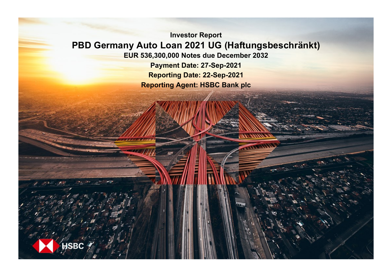**Investor Report PBD Germany Auto Loan 2021 UG (Haftungsbeschränkt) EUR 536,300,000 Notes due December 2032 Payment Date: 27-Sep-2021**

**Reporting Date: 22-Sep-2021 Reporting Agent: HSBC Bank plc**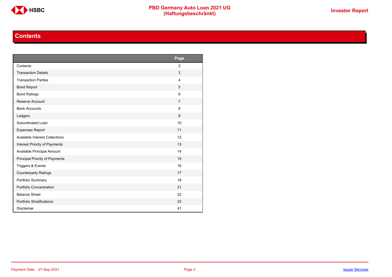

# **Contents**

<span id="page-1-0"></span>

|                                       | Page           |
|---------------------------------------|----------------|
| Contents                              | $\overline{2}$ |
| <b>Transaction Details</b>            | 3              |
| <b>Transaction Parties</b>            | $\overline{4}$ |
| <b>Bond Report</b>                    | 5              |
| <b>Bond Ratings</b>                   | 6              |
| Reserve Account                       | $\overline{7}$ |
| <b>Bank Accounts</b>                  | 8              |
| Ledgers                               | 9              |
| Subordinated Loan                     | 10             |
| <b>Expenses Report</b>                | 11             |
| <b>Available Interest Collections</b> | 12             |
| Interest Priority of Payments         | 13             |
| Available Principal Amount            | 14             |
| Principal Priority of Payments        | 15             |
| Triggers & Events                     | 16             |
| <b>Counterparty Ratings</b>           | 17             |
| Portfolio Summary                     | 18             |
| Portfolio Concentration               | 21             |
| <b>Balance Sheet</b>                  | 22             |
| Portfolio Stratifications             | 23             |
| <b>Disclaimer</b>                     | 41             |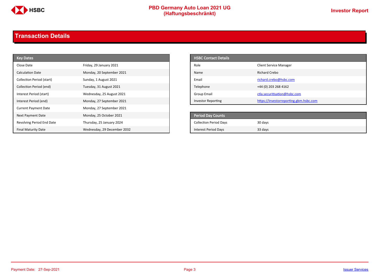

# **PBD Germany Auto Loan 2021 UG**<br>
(Haftungsbeschränkt)<br>
This area of the CHSD CHA (Haftungsbeschränkt)

# <span id="page-2-0"></span>**Transaction Details**

| <b>Key Dates</b>            |                             | <b>HSBC Contact Details</b>   |                                        |
|-----------------------------|-----------------------------|-------------------------------|----------------------------------------|
| Close Date                  | Friday, 29 January 2021     | Role                          | <b>Client Service Manager</b>          |
| <b>Calculation Date</b>     | Monday, 20 September 2021   | Name                          | <b>Richard Crebo</b>                   |
| Collection Period (start)   | Sunday, 1 August 2021       | Email                         | richard.crebo@hsbc.com                 |
| Collection Period (end)     | Tuesday, 31 August 2021     | Telephone                     | +44 (0) 203 268 4162                   |
| Interest Period (start)     | Wednesday, 25 August 2021   | <b>Group Email</b>            | ctla.securitisation@hsbc.com           |
| Interest Period (end)       | Monday, 27 September 2021   | <b>Investor Reporting</b>     | https://investorreporting.gbm.hsbc.com |
| <b>Current Payment Date</b> | Monday, 27 September 2021   |                               |                                        |
| Next Payment Date           | Monday, 25 October 2021     | <b>Period Day Counts</b>      |                                        |
| Revolving Period End Date   | Thursday, 25 January 2024   | <b>Collection Period Days</b> | 30 days                                |
| <b>Final Maturity Date</b>  | Wednesday, 29 December 2032 | <b>Interest Period Days</b>   | 33 days                                |

| <b>HSBC Contact Details</b> |                                        |
|-----------------------------|----------------------------------------|
| Role                        | <b>Client Service Manager</b>          |
| Name                        | Richard Crebo                          |
| Email                       | richard.crebo@hsbc.com                 |
| Telephone                   | +44 (0) 203 268 4162                   |
| Group Email                 | ctla.securitisation@hsbc.com           |
| <b>Investor Reporting</b>   | https://investorreporting.gbm.hsbc.com |

| Period Day Counts             |         |
|-------------------------------|---------|
| <b>Collection Period Days</b> | 30 days |
| <b>Interest Period Days</b>   | 33 days |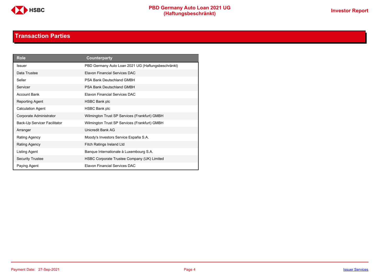

# **Transaction Parties**

<span id="page-3-0"></span>

| <b>Role</b>                  | Counterparty                                       |
|------------------------------|----------------------------------------------------|
| <b>Issuer</b>                | PBD Germany Auto Loan 2021 UG (Haftungsbeschränkt) |
| Data Trustee                 | Elavon Financial Services DAC                      |
| Seller                       | PSA Bank Deutschland GMBH                          |
| Servicer                     | <b>PSA Bank Deutschland GMBH</b>                   |
| <b>Account Bank</b>          | Elavon Financial Services DAC                      |
| Reporting Agent              | HSBC Bank plc                                      |
| <b>Calculation Agent</b>     | <b>HSBC Bank plc</b>                               |
| Corporate Administrator      | Wilmington Trust SP Services (Frankfurt) GMBH      |
| Back-Up Servicer Facilitator | Wilmington Trust SP Services (Frankfurt) GMBH      |
| Arranger                     | Unicredit Bank AG                                  |
| Rating Agency                | Moody's Investors Service España S.A.              |
| <b>Rating Agency</b>         | Fitch Ratings Ireland Ltd                          |
| Listing Agent                | Banque Internationale à Luxembourg S.A.            |
| <b>Security Trustee</b>      | HSBC Corporate Trustee Company (UK) Limited        |
| Paying Agent                 | <b>Flavon Financial Services DAC</b>               |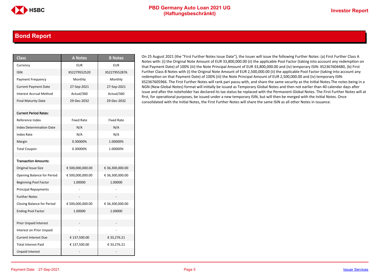### <span id="page-4-0"></span>**Bond Report**

| <b>Class</b>                      | <b>A Notes</b>    | <b>B</b> Notes    |
|-----------------------------------|-------------------|-------------------|
| Currency                          | <b>EUR</b>        | <b>EUR</b>        |
| <b>ISIN</b>                       | XS2279552520      | XS2279552876      |
| Payment Frequency                 | Monthly           | Monthly           |
| <b>Current Payment Date</b>       | 27-Sep-2021       | 27-Sep-2021       |
| <b>Interest Accrual Method</b>    | Actual/360        | Actual/360        |
| <b>Final Maturity Date</b>        | 29-Dec-2032       | 29-Dec-2032       |
|                                   |                   |                   |
| <b>Current Period Rates:</b>      |                   |                   |
| Reference Index                   | <b>Fixed Rate</b> | <b>Fixed Rate</b> |
| <b>Index Determination Date</b>   | N/A               | N/A               |
| Index Rate                        | N/A               | N/A               |
| Margin                            | 0.30000%          | 1.00000%          |
| <b>Total Coupon</b>               | 0.30000%          | 1.00000%          |
|                                   |                   |                   |
| <b>Transaction Amounts:</b>       |                   |                   |
| Original Issue Size               | € 500,000,000.00  | € 36,300,000.00   |
| <b>Opening Balance for Period</b> | € 500,000,000.00  | € 36,300,000.00   |
| <b>Beginning Pool Factor</b>      | 1.00000           | 1.00000           |
| <b>Principal Repayments</b>       |                   |                   |
| <b>Further Notes</b>              |                   |                   |
| <b>Closing Balance for Period</b> | € 500,000,000.00  | € 36,300,000.00   |
| <b>Ending Pool Factor</b>         | 1.00000           | 1.00000           |
|                                   |                   |                   |
| <b>Prior Unpaid Interest</b>      |                   |                   |
| <b>Interest on Prior Unpaid</b>   |                   |                   |
| <b>Current Interest Due</b>       | € 137,500.00      | € 33,276.21       |
| <b>Total Interest Paid</b>        | € 137,500.00      | €33,276.21        |
| <b>Unpaid Interest</b>            |                   |                   |

On 25 August 2021 (the "First Further Notes Issue Date"), the Issuer will issue the following Further Notes: (a) First Further Class A Notes with: (i) the Original Note Amount of EUR 33,800,000.00 (ii) the applicable Pool Factor (taking into account any redemption on that Payment Date) of 100% (iii) the Note Principal Amount of EUR 33,800,000.00 and (iv) temporary ISIN: XS2367604480, (b) First Further Class B Notes with (i) the Original Note Amount of EUR 2,500,000.00 (ii) the applicable Pool Factor (taking into account any redemption on that Payment Date) of 100% (iii) the Note Principal Amount of EUR 2,500,000.00 and (iv) temporary ISIN: XS2367605966. The First Further Notes will rank pari passu with, and share the same security as the Initial Notes.The notes being in a NGN (New Global Notes) format will initially be issued as Temporary Global Notes and then not earlier than 40 calendar days after issue and after the noteholder has declared its tax status be replaced with the Permanent Global Notes. The First Further Notes will at first, for operational purposes, be issued under a new temporary ISIN, but will then be merged with the Initial Notes. Once consolidated with the Initial Notes, the First Further Notes will share the same ISIN as all other Notes in issuance.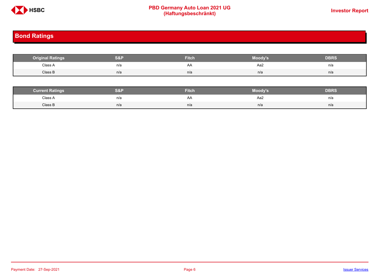

# **PBD Germany Auto Loan 2021 UG**<br>
(Haftungsbeschränkt)<br>
This area of the CHSD CHA (Haftungsbeschränkt)

# <span id="page-5-0"></span>**Bond Ratings**

| <b>Original Ratings</b> | S&P | <b>Fitch</b> | Moody's | <b>DBRS</b> |
|-------------------------|-----|--------------|---------|-------------|
| Class A                 | n/a | AA           | Aa2     | n/a         |
| Class B                 | n/a | n/a          | n/a     | n/a         |

| <b><i>Surrent Ratings</i></b> | 0.91<br>>I≏∃i | <b>Fitch</b> | Moody's | DERS. |
|-------------------------------|---------------|--------------|---------|-------|
| Class A<br>.                  | n/a           | ₩            | Aa2     | n/a   |
| Class B                       | n/a           | n/a          | n/a     | n/a   |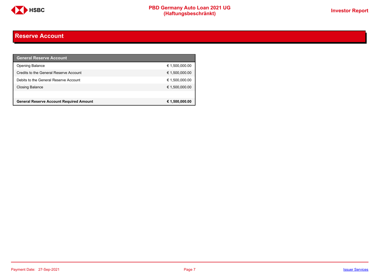

# <span id="page-6-0"></span>**Reserve Account**

| <b>General Reserve Account</b>                 |                |
|------------------------------------------------|----------------|
| <b>Opening Balance</b>                         | € 1,500,000.00 |
| Credits to the General Reserve Account         | € 1,500,000.00 |
| Debits to the General Reserve Account          | € 1,500,000.00 |
| <b>Closing Balance</b>                         | € 1,500,000.00 |
|                                                |                |
| <b>General Reserve Account Required Amount</b> | € 1,500,000.00 |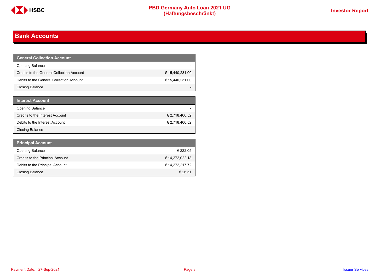

# <span id="page-7-0"></span>**Bank Accounts**

| General Collection Account <b>\</b>       |                 |
|-------------------------------------------|-----------------|
| <b>Opening Balance</b>                    |                 |
| Credits to the General Collection Account | € 15,440,231.00 |
| Debits to the General Collection Account  | € 15,440,231.00 |
| Closing Balance                           |                 |

| <b>Interest Account</b>         |                |
|---------------------------------|----------------|
| <b>Opening Balance</b>          |                |
| Credits to the Interest Account | € 2,718,466.52 |
| Debits to the Interest Account  | € 2,718,466.52 |
| <b>Closing Balance</b>          |                |

| <b>Principal Account</b>         |                 |
|----------------------------------|-----------------|
| <b>Opening Balance</b>           | € 222.05        |
| Credits to the Principal Account | € 14,272,022.18 |
| Debits to the Principal Account  | € 14,272,217.72 |
| <b>Closing Balance</b>           | € 26.51         |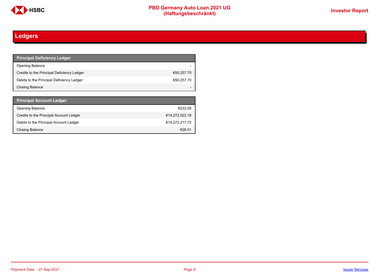

# <span id="page-8-0"></span>**Ledgers**

| <b>Principal Deficiency Ledger</b>         |            |
|--------------------------------------------|------------|
| <b>Opening Balance</b>                     |            |
| Credits to the Principal Deficiency Ledger | €50,257.70 |
| Debits to the Principal Deficiency Ledger  | €50,257.70 |
| <b>Closing Balance</b>                     |            |

| <b>Principal Account Ledger</b>         |                |
|-----------------------------------------|----------------|
| <b>Opening Balance</b>                  | €222.05        |
| Credits to the Principal Account Ledger | €14,272,022.18 |
| Debits to the Principal Account Ledger  | €14,272,217.72 |
| Closing Balance                         | €26.51         |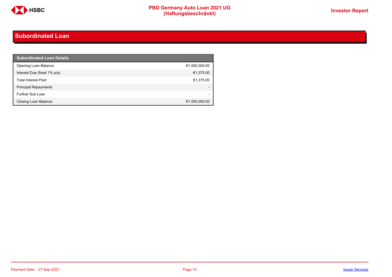

# <span id="page-9-0"></span>**Subordinated Loan**

| <b>Subordinated Loan Details</b> |               |
|----------------------------------|---------------|
| Opening Loan Balance             | €1,500,000.00 |
| Interest Due (fixed 1% p/a)      | €1,375.00     |
| <b>Total Interest Paid</b>       | €1,375.00     |
| <b>Principal Repayments</b>      |               |
| Further Sub Loan                 |               |
| Closing Loan Balance             | €1,500,000.00 |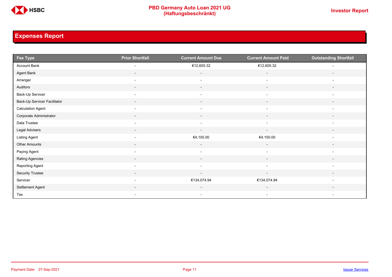

# <span id="page-10-0"></span>**Expenses Report**

| Fee Type                     | <b>Prior Shortfall</b>   | <b>Current Amount Due</b> | <b>Current Amount Paid</b> | <b>Outstanding Shortfall</b> |
|------------------------------|--------------------------|---------------------------|----------------------------|------------------------------|
| Account Bank                 | $\overline{\phantom{a}}$ | €12,605.32                | €12,605.32                 |                              |
| Agent Bank                   | $\overline{\phantom{a}}$ | $\overline{\phantom{a}}$  | $\overline{\phantom{a}}$   | $\overline{\phantom{a}}$     |
| Arranger                     | $\overline{\phantom{a}}$ | $\overline{\phantom{a}}$  | $\overline{\phantom{a}}$   | $\overline{\phantom{a}}$     |
| Auditors                     | $\overline{\phantom{a}}$ | $\overline{\phantom{a}}$  | $\overline{\phantom{a}}$   | $\overline{\phantom{a}}$     |
| Back-Up Servicer             | $\overline{\phantom{a}}$ | $\overline{\phantom{a}}$  | $\overline{\phantom{a}}$   | $\overline{\phantom{a}}$     |
| Back-Up Servicer Facilitator | $\overline{\phantom{a}}$ | $\overline{\phantom{a}}$  | $\overline{\phantom{a}}$   | $\overline{\phantom{a}}$     |
| <b>Calculation Agent</b>     | $\overline{\phantom{a}}$ | $\blacksquare$            | $\overline{\phantom{a}}$   | $\overline{\phantom{a}}$     |
| Corporate Administrator      | $\sim$                   | $\sim$                    | $\overline{\phantom{a}}$   | $\overline{\phantom{a}}$     |
| Data Trustee                 | $\overline{\phantom{a}}$ | $\overline{\phantom{a}}$  | $\overline{\phantom{a}}$   | $\overline{\phantom{a}}$     |
| Legal Advisers               | $\sim$                   | $\sim$                    | $\overline{\phantom{a}}$   | $\overline{\phantom{a}}$     |
| Listing Agent                | $\overline{\phantom{a}}$ | €4,100.00                 | €4,100.00                  | $\overline{\phantom{a}}$     |
| Other Amounts                | $\overline{\phantom{a}}$ | $\overline{\phantom{a}}$  | $\overline{\phantom{a}}$   | $\overline{\phantom{a}}$     |
| Paying Agent                 | $\sim$                   | $\overline{\phantom{a}}$  | $\overline{\phantom{a}}$   | $\overline{\phantom{a}}$     |
| Rating Agencies              | $\overline{\phantom{a}}$ | $\sim$                    | $\sim$                     | $\overline{\phantom{a}}$     |
| Reporting Agent              | $\overline{\phantom{a}}$ | $\overline{\phantom{a}}$  | $\overline{\phantom{a}}$   | $\overline{\phantom{a}}$     |
| Security Trustee             | $\sim$                   | $\sim$                    | $\sim$                     | $\sim$                       |
| Servicer                     | $\overline{\phantom{a}}$ | €134,074.94               | €134,074.94                | $\overline{\phantom{a}}$     |
| Settlement Agent             |                          |                           | $\overline{\phantom{a}}$   |                              |
| Tax                          | $\overline{\phantom{a}}$ | $\overline{\phantom{a}}$  | $\overline{\phantom{a}}$   | $\overline{\phantom{a}}$     |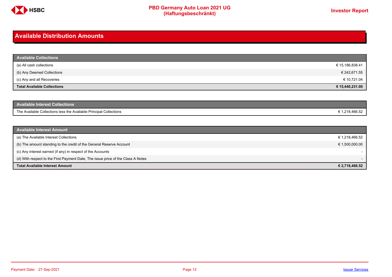

#### C**HSBC PBD Germany Auto Loan 2021 UG (Haftungsbeschränkt) Investor Report**

# <span id="page-11-0"></span>**Available Distribution Amounts**

| <b>Available Collections</b>       |                 |
|------------------------------------|-----------------|
| (a) All cash collections           | € 15,186,838.41 |
| (b) Any Deemed Collections         | € 242,671.55    |
| (c) Any and all Recoveries         | € 10,721.04     |
| <b>Total Available Collections</b> | € 15,440,231.00 |

| <b>Available Interest Collections</b>                              |         |
|--------------------------------------------------------------------|---------|
| The Available Collections less the Available Principal Collections | :466.52 |
|                                                                    | ، م ۱   |

| <b>Available Interest Amount</b>                                                 |                |
|----------------------------------------------------------------------------------|----------------|
| (a) The Available Interest Collections                                           | € 1,218,466.52 |
| (b) The amount standing to the credit of the General Reserve Account             | € 1,500,000.00 |
| (c) Any interest earned (if any) in respect of the Accounts                      |                |
| (d) With respect to the First Payment Date, The issue price of the Class A Notes |                |
| <b>Total Available Interest Amount</b>                                           | € 2,718,466.52 |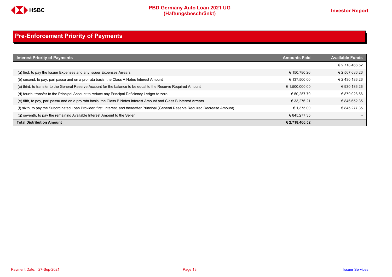

# <span id="page-12-0"></span>**Pre-Enforcement Priority of Payments**

| <b>Interest Priority of Payments</b>                                                                                                   | <b>Amounts Paid</b> | <b>Available Funds</b> |
|----------------------------------------------------------------------------------------------------------------------------------------|---------------------|------------------------|
|                                                                                                                                        |                     | € 2,718,466.52         |
| (a) first, to pay the Issuer Expenses and any Issuer Expenses Arrears                                                                  | € 150.780.26        | € 2,567,686.26         |
| (b) second, to pay, pari passu and on a pro rata basis, the Class A Notes Interest Amount                                              | € 137.500.00        | € 2,430,186.26         |
| (c) third, to transfer to the General Reserve Account for the balance to be equal to the Reserve Required Amount                       | € 1,500,000.00      | € 930,186.26           |
| (d) fourth, transfer to the Principal Account to reduce any Principal Deficiency Ledger to zero                                        | € 50.257.70         | € 879.928.56           |
| (e) fifth, to pay, pari passu and on a pro rata basis, the Class B Notes Interest Amount and Class B Interest Arrears                  | € 33.276.21         | € 846,652.35           |
| (f) sixth, to pay the Subordinated Loan Provider, first, Interest, and thereafter Principal (General Reserve Required Decrease Amount) | € 1.375.00          | € 845.277.35           |
| (g) seventh, to pay the remaining Available Interest Amount to the Seller                                                              | € 845.277.35        |                        |
| <b>Total Distribution Amount</b>                                                                                                       | € 2,718,466.52      |                        |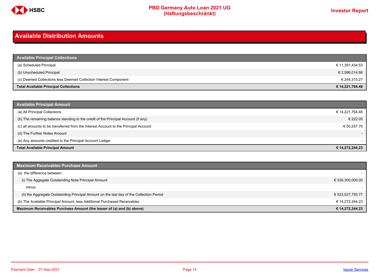

# <span id="page-13-0"></span>**Available Distribution Amounts**

| <b>Available Principal Collections</b>                           |                 |
|------------------------------------------------------------------|-----------------|
| (a) Scheduled Principal                                          | € 11,391,434.53 |
| (b) Unscheduled Principal                                        | € 2,586,014.68  |
| (c) Deemed Collections less Deemed Collection Interest Component | € 244,315.27    |
| <b>Total Available Principal Collections</b>                     | € 14,221,764.48 |

| <b>Available Principal Amount</b>                                                    |                 |
|--------------------------------------------------------------------------------------|-----------------|
| (a) All Principal Collections                                                        | € 14,221,764.48 |
| (b) The remaining balance standing to the credit of the Principal Account (if any)   | € 222.05        |
| (c) all amounts to be transferred from the Interest Account to the Principal Account | € 50,257.70     |
| (d) The Further Notes Amount                                                         |                 |
| (e) Any amounts credited to the Principal Account Ledger                             |                 |
| <b>Total Available Principal Amount</b>                                              | € 14,272,244.23 |

| <b>Maximum Receivables Purchase Amount</b>                                               |                  |
|------------------------------------------------------------------------------------------|------------------|
| (a) the difference between:                                                              |                  |
| (i) The Aggegate Outstanding Note Principal Amount                                       | € 536,300,000.00 |
| minus                                                                                    |                  |
| (ii) the Aggregate Outstanding Principal Amount on the last day of the Collection Period | € 522,027,755.77 |
| (b) The Available Principal Amount, less Additional Purchased Receivables                | € 14.272.244.23  |
| Maximum Receivables Purchase Amount (the lesser of (a) and (b) above)                    | € 14,272,244.23  |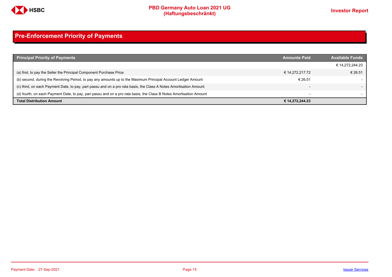

# <span id="page-14-0"></span>**Pre-Enforcement Priority of Payments**

| <b>Principal Priority of Payments</b>                                                                               | <b>Amounts Paid</b>      | <b>Available Funds</b> |
|---------------------------------------------------------------------------------------------------------------------|--------------------------|------------------------|
|                                                                                                                     |                          | € 14,272,244.23        |
| (a) first, to pay the Seller the Principal Component Purchase Price                                                 | € 14.272.217.72          | € 26.51                |
| (b) second, during the Revolving Period, to pay any amounts up to the Maximum Principal Account Ledger Amount       | € 26.51                  |                        |
| (c) third, on each Payment Date, to pay, pari passu and on a pro rata basis, the Class A Notes Amortisation Amount  |                          |                        |
| (d) fourth, on each Payment Date, to pay, pari passu and on a pro rata basis, the Class B Notes Amortisation Amount | $\overline{\phantom{0}}$ |                        |
| <b>Total Distribution Amount</b>                                                                                    | € 14,272,244.23          |                        |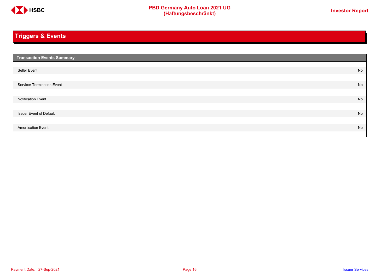

# <span id="page-15-0"></span>**Triggers & Events**

| <b>Transaction Events Summary</b> |    |
|-----------------------------------|----|
|                                   |    |
| Seller Event                      | No |
|                                   |    |
| Servicer Termination Event        | No |
|                                   |    |
| <b>Notification Event</b>         | No |
|                                   |    |
| <b>Issuer Event of Default</b>    | No |
|                                   |    |
| <b>Amortisation Event</b>         | No |
|                                   |    |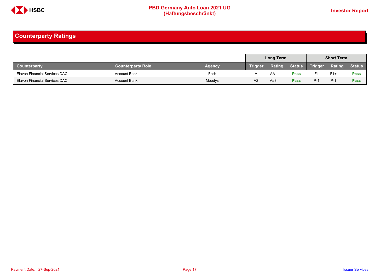

# <span id="page-16-0"></span>**Counterparty Ratings**

|                               |                          |        |         | <b>Long Term</b> |               |         | <b>Short Term</b> |               |
|-------------------------------|--------------------------|--------|---------|------------------|---------------|---------|-------------------|---------------|
| <b>Counterparty</b>           | <b>Counterparty Role</b> | Agency | Trigger | <b>Rating</b>    | <b>Status</b> | Trigger | Rating            | <b>Status</b> |
| Elavon Financial Services DAC | <b>Account Bank</b>      | Fitch  |         | AA-              | <b>Pass</b>   |         | $F1+$             | <b>Pass</b>   |
| Elavon Financial Services DAC | <b>Account Bank</b>      | Moodys | A2      | АаЗ              | <b>Pass</b>   | $P-1$   | $P-1$             | Pass          |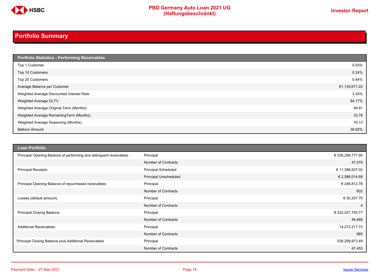

# **PBD Germany Auto Loan 2021 UG**<br>
(Haftungsbeschränkt)<br>
This area of the CHSD CHA (Haftungsbeschränkt)

# <span id="page-17-0"></span>**Portfolio Summary**

| Portfolio Statistics - Performing Receivables |               |
|-----------------------------------------------|---------------|
| Top 1 Customer                                | 0.03%         |
| Top 10 Customers                              | 0.24%         |
| Top 20 Customers                              | 0.44%         |
| Average Balance per Customer                  | €1,130,671.22 |
| Weighted Average Discounted Interest Rate     | 3.34%         |
| Weighted Average OLTV                         | 84.17%        |
| Weighted Average Original Term (Months)       | 49.91         |
| Weighted Average RemainingTerm (Months)       | 33.78         |
| Weighted Average Seasoning (Months)           | 16.13         |
| <b>Balloon Amount</b>                         | 39.92%        |

| <b>Loan Portfolio</b>                                                |                              |                  |
|----------------------------------------------------------------------|------------------------------|------------------|
| Principal Opening Balance of performing and delinquent receivables : | Principal                    | € 536,299,777.95 |
|                                                                      | <b>Number of Contracts</b>   | 47,070           |
| <b>Principal Receipts:</b>                                           | <b>Principal Scheduled</b>   | € 11,388,937.02  |
|                                                                      | <b>Principal Unscheduled</b> | € 2,586,014.68   |
| Principal Opening Balance of repurchased receivables:                | Principal                    | € 246,812.78     |
|                                                                      | <b>Number of Contracts</b>   | 602              |
| Losses (default amount):                                             | Principal                    | € 50,257.70      |
|                                                                      | <b>Number of Contracts</b>   | $\overline{4}$   |
| Principal Closing Balance:                                           | Principal                    | € 522,027,755.77 |
|                                                                      | <b>Number of Contracts</b>   | 46,468           |
| <b>Additional Receivables:</b>                                       | Principal                    | 14,272,217.72    |
|                                                                      | <b>Number of Contracts</b>   | 985              |
| Principal Closing Balance plus Additional Receivables                | Principal                    | 536,299,973.49   |
|                                                                      | <b>Number of Contracts</b>   | 47,453           |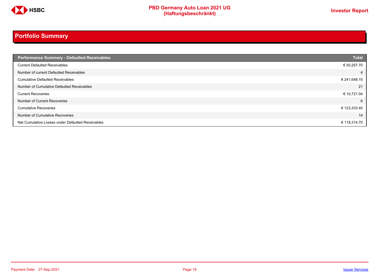

# **Portfolio Summary**

| <b>Performance Summary - Defaulted Receivables</b> | <b>Total</b> |
|----------------------------------------------------|--------------|
| <b>Current Defaulted Receivables</b>               | € 50,257.70  |
| Number of current Defaulted Receivables            | 4            |
| <b>Cumulative Defaulted Receivables</b>            | € 241,648.10 |
| Number of Cumulative Defaulted Receivables         | 21           |
| <b>Current Recoveries</b>                          | € 10,721.04  |
| Number of Current Recoveries                       | 6            |
| <b>Cumulative Recoveries</b>                       | € 123,333.40 |
| Number of Cumulative Recoveries                    | 14           |
| Net Cumulative Losses under Defaulted Receivables  | € 118,314.70 |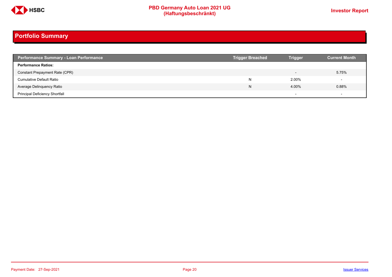

# **Portfolio Summary**

| <b>Performance Summary - Loan Performance</b> | <b>Trigger Breached</b> | <b>Trigger</b>           | <b>Current Month</b> |
|-----------------------------------------------|-------------------------|--------------------------|----------------------|
| <b>Performance Ratios:</b>                    |                         |                          |                      |
| Constant Prepayment Rate (CPR)                |                         | $\overline{\phantom{0}}$ | 5.75%                |
| <b>Cumulative Default Ratio</b>               | N                       | 2.00%                    |                      |
| Average Delinquency Ratio                     | N                       | 4.00%                    | $0.88\%$             |
| <b>Principal Deficiency Shortfall</b>         |                         | $\overline{\phantom{0}}$ |                      |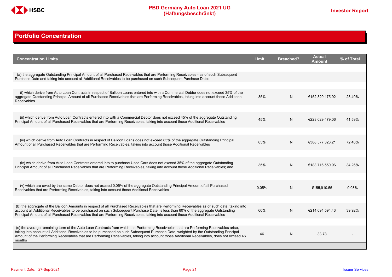

# <span id="page-20-0"></span>**Portfolio Concentration**

| <b>Concentration Limits</b>                                                                                                                                                                                                                                                                                                                                                                                                              | <b>Limit</b> | <b>Breached?</b> | <b>Actual</b><br>Amount | % of Total |
|------------------------------------------------------------------------------------------------------------------------------------------------------------------------------------------------------------------------------------------------------------------------------------------------------------------------------------------------------------------------------------------------------------------------------------------|--------------|------------------|-------------------------|------------|
| (a) the aggregate Outstanding Principal Amount of all Purchased Receivables that are Performing Receivables - as of such Subsequent<br>Purchase Date and taking into account all Additional Receivables to be purchased on such Subsequent Purchase Date:                                                                                                                                                                                |              |                  |                         |            |
| (i) which derive from Auto Loan Contracts in respect of Balloon Loans entered into with a Commercial Debtor does not exceed 35% of the                                                                                                                                                                                                                                                                                                   |              |                  |                         |            |
| aggregate Outstanding Principal Amount of all Purchased Receivables that are Performing Receivables, taking into account those Additional<br><b>Receivables</b>                                                                                                                                                                                                                                                                          | 35%          | N                | €152,320,175.92         | 28.40%     |
| (ii) which derive from Auto Loan Contracts entered into with a Commercial Debtor does not exceed 45% of the aggregate Outstanding<br>Principal Amount of all Purchased Receivables that are Performing Receivables, taking into account those Additional Receivables                                                                                                                                                                     | 45%          | N.               | €223,029,479.06         | 41.59%     |
|                                                                                                                                                                                                                                                                                                                                                                                                                                          |              |                  |                         |            |
| (iii) which derive from Auto Loan Contracts in respect of Balloon Loans does not exceed 85% of the aggregate Outstanding Principal<br>Amount of all Purchased Receivables that are Performing Receivables, taking into account those Additional Receivables                                                                                                                                                                              | 85%          | N                | €388.577.323.21         | 72.46%     |
|                                                                                                                                                                                                                                                                                                                                                                                                                                          |              |                  |                         |            |
| (iv) which derive from Auto Loan Contracts entered into to purchase Used Cars does not exceed 35% of the aggregate Outstanding<br>Principal Amount of all Purchased Receivables that are Performing Receivables, taking into account those Additional Receivables; and                                                                                                                                                                   | 35%          | N                | €183.716.550.96         | 34.26%     |
|                                                                                                                                                                                                                                                                                                                                                                                                                                          |              |                  |                         |            |
| (v) which are owed by the same Debtor does not exceed 0.05% of the aggregate Outstanding Principal Amount of all Purchased<br>Receivables that are Performing Receivables, taking into account those Additional Receivables                                                                                                                                                                                                              | 0.05%        | N                | €155.910.55             | 0.03%      |
|                                                                                                                                                                                                                                                                                                                                                                                                                                          |              |                  |                         |            |
| (b) the aggregate of the Balloon Amounts in respect of all Purchased Receivables that are Performing Receivables as of such date, taking into<br>account all Additional Receivables to be purchased on such Subsequent Purchase Date, is less than 60% of the aggregate Outstanding<br>Principal Amount of all Purchased Receivables that are Performing Receivables, taking into account those Additional Receivables                   | 60%          | N                | €214,094,594.43         | 39.92%     |
|                                                                                                                                                                                                                                                                                                                                                                                                                                          |              |                  |                         |            |
| (c) the average remaining term of the Auto Loan Contracts from which the Performing Receivables that are Performing Receivables arise.<br>taking into account all Additional Receivables to be purchased on such Subsequent Purchase Date, weighted by the Outstanding Principal<br>Amount of the Performing Receivables that are Performing Receivables, taking into account those Additional Receivables, does not exceed 46<br>months | 46           | N                | 33.78                   |            |
|                                                                                                                                                                                                                                                                                                                                                                                                                                          |              |                  |                         |            |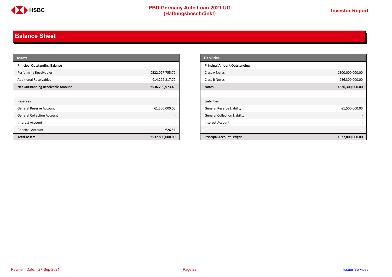

# <span id="page-21-0"></span>**Balance Sheet**

| <b>Assets</b>                            |                          | <b>Liabilities</b>                  |                 |
|------------------------------------------|--------------------------|-------------------------------------|-----------------|
| <b>Principal Outstanding Balance</b>     |                          | <b>Principal Amount Outstanding</b> |                 |
| <b>Performing Receivables</b>            | €522,027,755.77          | Class A Notes                       | €500,000,000.00 |
| <b>Additional Receivables</b>            | €14,272,217.72           | Class B Notes                       | €36,300,000.00  |
| <b>Net Outstanding Receivable Amount</b> | €536,299,973.49          | <b>Notes</b>                        | €536,300,000.00 |
|                                          |                          |                                     |                 |
| Reserves                                 |                          | Liabilities                         |                 |
| General Reserve Account                  | €1,500,000.00            | <b>General Reserve Liability</b>    | €1,500,000.00   |
| <b>General Collection Account</b>        | $\overline{\phantom{a}}$ | <b>General Collection Liability</b> |                 |
| Interest Account                         | $\overline{\phantom{a}}$ | Interest Account                    |                 |
| Principal Account                        | €26.51                   |                                     |                 |
| <b>Total Assets</b>                      | €537,800,000.00          | <b>Principal Account Ledger</b>     | €537,800,000.00 |

| <b>Liabilities</b>                  |                 |
|-------------------------------------|-----------------|
| <b>Principal Amount Outstanding</b> |                 |
| Class A Notes                       | €500,000,000.00 |
| Class B Notes                       | €36,300,000.00  |
| <b>Notes</b>                        | €536,300,000.00 |
|                                     |                 |
| <b>Liabilities</b>                  |                 |
| <b>General Reserve Liability</b>    | €1,500,000.00   |
| <b>General Collection Liability</b> | ٠               |
| <b>Interest Account</b>             |                 |
|                                     |                 |
| <b>Principal Account Ledger</b>     | €537,800,000.00 |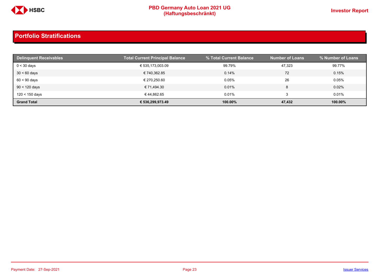

| <b>Delinguent Receivables</b> | <b>Total Current Principal Balance</b> | % Total Current Balance | <b>Number of Loans</b> | % Number of Loans |
|-------------------------------|----------------------------------------|-------------------------|------------------------|-------------------|
| $0 < 30$ days                 | € 535,173,003.09                       | 99.79%                  | 47,323                 | 99.77%            |
| $30 < 60$ days                | € 740.362.85                           | 0.14%                   | 72                     | 0.15%             |
| $60 < 90$ days                | € 270.250.60                           | 0.05%                   | 26                     | 0.05%             |
| $90 < 120$ days               | € 71.494.30                            | 0.01%                   |                        | 0.02%             |
| 120 < 150 days                | €44.862.65                             | 0.01%                   |                        | 0.01%             |
| <b>Grand Total</b>            | € 536,299,973.49                       | 100.00%                 | 47,432                 | 100.00%           |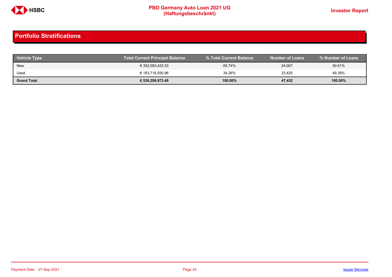

| <b>Vehicle Type</b> | <b>Total Current Principal Balance</b> |            | <b>Number of Loans</b> | % Number of Loans |
|---------------------|----------------------------------------|------------|------------------------|-------------------|
| <b>New</b>          | € 352,583,422.53                       | 65.74%     | 24,007                 | 50.61%            |
| Used                | € 183,716,550.96                       | 34.26%     | 23.425                 | 49.39%            |
| <b>Grand Total</b>  | € 536,299,973.49                       | $100.00\%$ | 47,432                 | 100.00%           |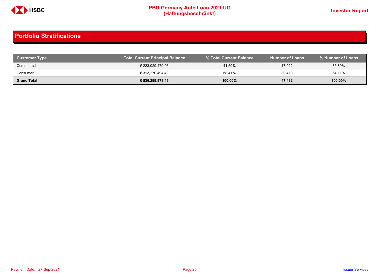

| <b>Customer Type</b> | <b>Total Current Principal Balance</b> |         | Number of Loans \ | % Number of Loans |
|----------------------|----------------------------------------|---------|-------------------|-------------------|
| Commercial           | € 223,029,479.06                       | 41.59%  | 17,022            | 35.89%            |
| Consumer             | € 313.270.494.43                       | 58.41%  | 30,410            | 64.11%            |
| <b>Grand Total</b>   | € 536,299,973.49                       | 100.00% | 47,432            | 100.00%           |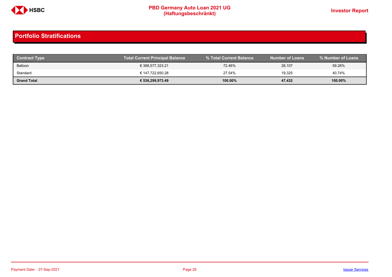

| <b>Contract Type</b> | <b>Total Current Principal Balance</b> |            | <b>Number of Loans</b> | % Number of Loans |
|----------------------|----------------------------------------|------------|------------------------|-------------------|
| Balloon              | € 388,577,323.21                       | 72.46%     | 28,107                 | 59.26%            |
| Standard             | € 147,722,650.28                       | 27.54%     | 19,325                 | 40.74%            |
| <b>Grand Total</b>   | € 536,299,973.49                       | $100.00\%$ | 47,432                 | 100.00%           |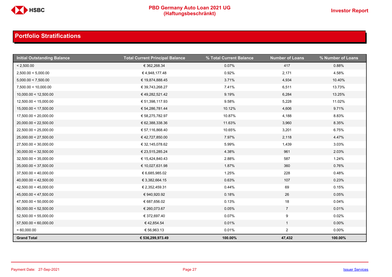

| <b>Initial Outstanding Balance</b> | <b>Total Current Principal Balance</b> | % Total Current Balance | <b>Number of Loans</b> | % Number of Loans |
|------------------------------------|----------------------------------------|-------------------------|------------------------|-------------------|
| < 2,500.00                         | € 362,268.34                           | 0.07%                   | 417                    | 0.88%             |
| 2,500.00 < 5,000.00                | €4,948,177.48                          | 0.92%                   | 2,171                  | 4.58%             |
| 5,000.00 < 7,500.00                | € 19,874,888.45                        | 3.71%                   | 4,934                  | 10.40%            |
| 7,500.00 < 10,000.00               | € 39,743,268.27                        | 7.41%                   | 6,511                  | 13.73%            |
| 10,000.00 < 12,500.00              | € 49,282,521.42                        | 9.19%                   | 6,284                  | 13.25%            |
| 12,500.00 < 15,000.00              | € 51,398,117.93                        | 9.58%                   | 5,228                  | 11.02%            |
| 15,000.00 < 17,500.00              | € 54,286,781.44                        | 10.12%                  | 4,606                  | 9.71%             |
| 17,500.00 < 20,000.00              | € 58,275,782.97                        | 10.87%                  | 4,188                  | 8.83%             |
| 20,000.00 < 22,500.00              | € 62,388,338.36                        | 11.63%                  | 3,960                  | 8.35%             |
| 22,500.00 < 25,000.00              | € 57,116,868.40                        | 10.65%                  | 3,201                  | 6.75%             |
| 25,000.00 < 27,500.00              | € 42,727,850.00                        | 7.97%                   | 2,118                  | 4.47%             |
| 27,500.00 < 30,000.00              | € 32,145,078.62                        | 5.99%                   | 1,439                  | 3.03%             |
| 30,000.00 < 32,500.00              | € 23,515,285.24                        | 4.38%                   | 961                    | 2.03%             |
| 32,500.00 < 35,000.00              | € 15,424,840.43                        | 2.88%                   | 587                    | 1.24%             |
| 35,000.00 < 37,500.00              | € 10,027,631.98                        | 1.87%                   | 360                    | 0.76%             |
| 37,500.00 < 40,000.00              | € 6,685,985.02                         | 1.25%                   | 228                    | 0.48%             |
| 40,000.00 < 42,500.00              | € 3,382,664.15                         | 0.63%                   | 107                    | 0.23%             |
| 42,500.00 < 45,000.00              | € 2,352,459.31                         | 0.44%                   | 69                     | 0.15%             |
| 45,000.00 < 47,500.00              | € 940,920.92                           | 0.18%                   | 26                     | 0.05%             |
| 47,500.00 < 50,000.00              | € 687,656.02                           | 0.13%                   | 18                     | 0.04%             |
| 50,000.00 < 52,500.00              | € 260,073.67                           | 0.05%                   | $7\overline{ }$        | 0.01%             |
| 52,500.00 < 55,000.00              | € 372,697.40                           | 0.07%                   | 9                      | 0.02%             |
| 57,500.00 < 60,000.00              | €42,854.54                             | 0.01%                   | $\mathbf{1}$           | $0.00\%$          |
| $= 60,000.00$                      | € 56,963.13                            | 0.01%                   | $\overline{2}$         | $0.00\%$          |
| <b>Grand Total</b>                 | € 536,299,973.49                       | 100.00%                 | 47,432                 | 100.00%           |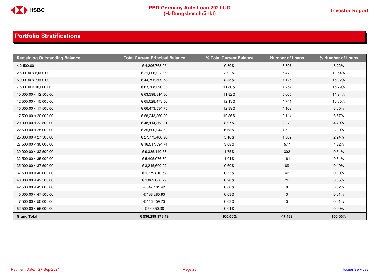

| <b>Remaining Outstanding Balance</b> | <b>Total Current Principal Balance</b> | % Total Current Balance | <b>Number of Loans</b> | % Number of Loans |
|--------------------------------------|----------------------------------------|-------------------------|------------------------|-------------------|
| < 2,500.00                           | €4,296,768.05                          | 0.80%                   | 3,897                  | 8.22%             |
| 2,500.00 < 5,000.00                  | € 21,006,023.99                        | 3.92%                   | 5,473                  | 11.54%            |
| 5,000.00 < 7,500.00                  | €44,795,509.78                         | 8.35%                   | 7,125                  | 15.02%            |
| 7,500.00 < 10,000.00                 | € 63,308,090.33                        | 11.80%                  | 7,254                  | 15.29%            |
| 10,000.00 < 12,500.00                | € 63,398,814.36                        | 11.82%                  | 5,665                  | 11.94%            |
| 12,500.00 < 15,000.00                | € 65,028,473.56                        | 12.13%                  | 4,741                  | 10.00%            |
| 15,000.00 < 17,500.00                | € 66,473,534.75                        | 12.39%                  | 4,102                  | 8.65%             |
| 17,500.00 < 20,000.00                | € 58,243,860.80                        | 10.86%                  | 3,114                  | 6.57%             |
| 20,000.00 < 22,500.00                | €48,114,863.31                         | 8.97%                   | 2,270                  | 4.79%             |
| 22,500.00 < 25,000.00                | € 35,800,044.62                        | 6.68%                   | 1,513                  | 3.19%             |
| 25,000.00 < 27,500.00                | € 27,775,408.96                        | 5.18%                   | 1,062                  | 2.24%             |
| 27,500.00 < 30,000.00                | € 16,517,594.74                        | 3.08%                   | 577                    | 1.22%             |
| 30,000.00 < 32,500.00                | € 9,385,140.68                         | 1.75%                   | 302                    | 0.64%             |
| 32,500.00 < 35,000.00                | € 5,405,076.30                         | 1.01%                   | 161                    | 0.34%             |
| 35,000.00 < 37,500.00                | € 3,215,600.92                         | 0.60%                   | 89                     | 0.19%             |
| 37,500.00 < 40,000.00                | € 1,779,810.59                         | 0.33%                   | 46                     | 0.10%             |
| 40,000.00 < 42,500.00                | € 1,069,080.29                         | 0.20%                   | 26                     | 0.05%             |
| 42,500.00 < 45,000.00                | € 347,181.42                           | 0.06%                   | 8                      | 0.02%             |
| 45,000.00 < 47,500.00                | € 138,285.93                           | 0.03%                   | $\mathbf{3}$           | 0.01%             |
| 47,500.00 < 50,000.00                | € 146,459.73                           | 0.03%                   | 3                      | 0.01%             |
| 52,500.00 < 55,000.00                | € 54,350.38                            | 0.01%                   | $\mathbf{1}$           | $0.00\%$          |
| <b>Grand Total</b>                   | € 536,299,973.49                       | 100.00%                 | 47,432                 | 100.00%           |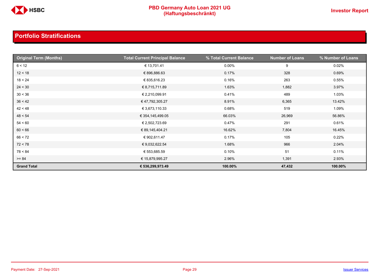

| <b>Original Term (Months)</b> | <b>Total Current Principal Balance</b> | % Total Current Balance | <b>Number of Loans</b> | % Number of Loans |
|-------------------------------|----------------------------------------|-------------------------|------------------------|-------------------|
| 6 < 12                        | € 13,701.41                            | $0.00\%$                | 9                      | 0.02%             |
| 12 < 18                       | € 896,886.63                           | 0.17%                   | 328                    | 0.69%             |
| 18 < 24                       | € 835,616.23                           | 0.16%                   | 263                    | 0.55%             |
| 24 < 30                       | € 8,715,711.89                         | 1.63%                   | 1,882                  | 3.97%             |
| 30 < 36                       | € 2,210,099.91                         | 0.41%                   | 489                    | 1.03%             |
| 36 < 42                       | € 47,792,305.27                        | 8.91%                   | 6,365                  | 13.42%            |
| 42 < 48                       | € 3,673,110.33                         | 0.68%                   | 519                    | 1.09%             |
| 48 < 54                       | € 354,145,499.05                       | 66.03%                  | 26,969                 | 56.86%            |
| 54 < 60                       | € 2,502,723.69                         | 0.47%                   | 291                    | 0.61%             |
| 60 < 66                       | € 89,145,404.21                        | 16.62%                  | 7,804                  | 16.45%            |
| 66 < 72                       | € 902,611.47                           | 0.17%                   | 105                    | 0.22%             |
| 72 < 78                       | € 9,032,622.54                         | 1.68%                   | 966                    | 2.04%             |
| 78 < 84                       | € 553,685.59                           | 0.10%                   | 51                     | 0.11%             |
| $>= 84$                       | € 15,879,995.27                        | 2.96%                   | 1,391                  | 2.93%             |
| <b>Grand Total</b>            | € 536,299,973.49                       | 100.00%                 | 47,432                 | 100.00%           |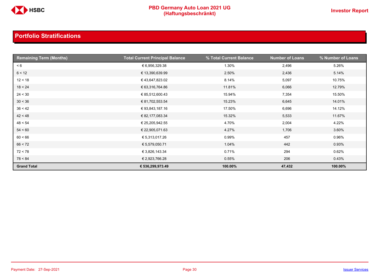

| <b>Remaining Term (Months)</b> | <b>Total Current Principal Balance</b> | % Total Current Balance | <b>Number of Loans</b> | % Number of Loans |
|--------------------------------|----------------------------------------|-------------------------|------------------------|-------------------|
| < 6                            | € 6,956,329.38                         | 1.30%                   | 2,496                  | 5.26%             |
| 6 < 12                         | € 13,390,639.99                        | 2.50%                   | 2,436                  | 5.14%             |
| 12 < 18                        | € 43,647,823.02                        | 8.14%                   | 5,097                  | 10.75%            |
| 18 < 24                        | € 63,316,764.86                        | 11.81%                  | 6,066                  | 12.79%            |
| 24 < 30                        | € 85,512,600.43                        | 15.94%                  | 7,354                  | 15.50%            |
| 30 < 36                        | € 81,702,553.54                        | 15.23%                  | 6,645                  | 14.01%            |
| 36 < 42                        | € 93,843,187.16                        | 17.50%                  | 6,696                  | 14.12%            |
| 42 < 48                        | € 82,177,083.34                        | 15.32%                  | 5,533                  | 11.67%            |
| 48 < 54                        | € 25,205,942.55                        | 4.70%                   | 2,004                  | 4.22%             |
| 54 < 60                        | € 22,905,071.63                        | 4.27%                   | 1,706                  | 3.60%             |
| 60 < 66                        | € 5,313,017.26                         | 0.99%                   | 457                    | 0.96%             |
| 66 < 72                        | € 5,579,050.71                         | 1.04%                   | 442                    | 0.93%             |
| 72 < 78                        | € 3,826,143.34                         | 0.71%                   | 294                    | 0.62%             |
| 78 < 84                        | € 2,923,766.28                         | 0.55%                   | 206                    | 0.43%             |
| <b>Grand Total</b>             | € 536,299,973.49                       | 100.00%                 | 47,432                 | 100.00%           |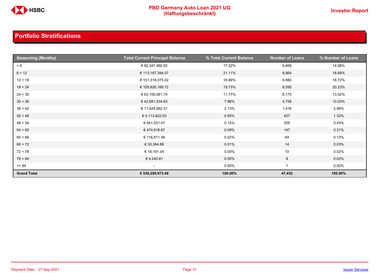

| <b>Seasoning (Months)</b> | <b>Total Current Principal Balance</b> | % Total Current Balance | <b>Number of Loans</b> | % Number of Loans |
|---------------------------|----------------------------------------|-------------------------|------------------------|-------------------|
| < 6                       | € 92,347,460.52                        | 17.22%                  | 6,668                  | 14.06%            |
| 6 < 12                    | € 113,187,394.07                       | 21.11%                  | 8,864                  | 18.69%            |
| 12 < 18                   | € 101,318,075.02                       | 18.89%                  | 8,880                  | 18.72%            |
| 18 < 24                   | € 105,826,166.72                       | 19.73%                  | 9,595                  | 20.23%            |
| 24 < 30                   | € 63,105,081.74                        | 11.77%                  | 6,175                  | 13.02%            |
| 30 < 36                   | € 42,691,534.83                        | 7.96%                   | 4,758                  | 10.03%            |
| 36 < 42                   | € 11,424,682.31                        | 2.13%                   | 1,416                  | 2.99%             |
| 42 < 48                   | € 5,113,822.03                         | 0.95%                   | 627                    | 1.32%             |
| 48 < 54                   | € 641,531.47                           | 0.12%                   | 205                    | 0.43%             |
| 54 < 60                   | €474,616.67                            | 0.09%                   | 147                    | 0.31%             |
| 60 < 66                   | € 116,811.38                           | 0.02%                   | 64                     | 0.13%             |
| 66 < 72                   | € 30,364.88                            | 0.01%                   | 14                     | 0.03%             |
| 72 < 78                   | € 18,191.04                            | $0.00\%$                | 10                     | 0.02%             |
| 78 < 84                   | €4,240.81                              | $0.00\%$                | 8                      | 0.02%             |
| $>= 84$                   | $\sim$                                 | $0.00\%$                |                        | $0.00\%$          |
| <b>Grand Total</b>        | € 536,299,973.49                       | 100.00%                 | 47,432                 | 100.00%           |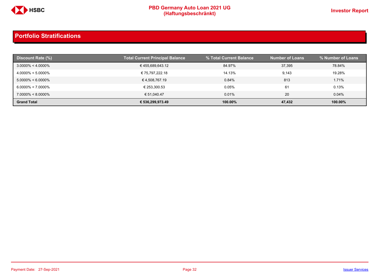

| Discount Rate (%)     | <b>Total Current Principal Balance</b> | % Total Current Balance | <b>Number of Loans</b> | % Number of Loans |
|-----------------------|----------------------------------------|-------------------------|------------------------|-------------------|
| $3.0000\% < 4.0000\%$ | €455,689,643.12                        | 84.97%                  | 37,395                 | 78.84%            |
| $4.0000\% < 5.0000\%$ | € 75,797,222.18                        | 14.13%                  | 9.143                  | 19.28%            |
| $5.0000\% < 6.0000\%$ | € 4,508,767.19                         | 0.84%                   | 813                    | 1.71%             |
| $6.0000\% < 7.0000\%$ | € 253.300.53                           | 0.05%                   | 61                     | 0.13%             |
| $7.0000\% < 8.0000\%$ | € 51.040.47                            | 0.01%                   | 20                     | 0.04%             |
| <b>Grand Total</b>    | € 536,299,973.49                       | 100.00%                 | 47,432                 | 100.00%           |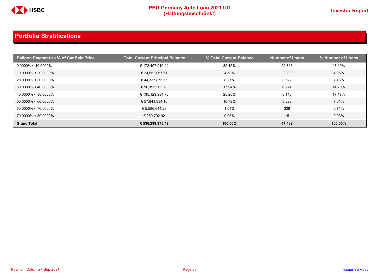

| <b>Balloon Payment as % of Car Sale Price</b> | <b>Total Current Principal Balance</b> | % Total Current Balance | <b>Number of Loans</b> | % Number of Loans |
|-----------------------------------------------|----------------------------------------|-------------------------|------------------------|-------------------|
| $0.0000\% < 10.0000\%$                        | € 172,407,910.44                       | 32.15%                  | 22,813                 | 48.10%            |
| $10.0000\% < 20.0000\%$                       | € 24,552,067.61                        | 4.58%                   | 2,300                  | 4.85%             |
| 20.0000% < 30.0000%                           | € 44,337,875.65                        | 8.27%                   | 3,522                  | 7.43%             |
| $30.0000\% < 40.0000\%$                       | € 96,193,363.78                        | 17.94%                  | 6,974                  | 14.70%            |
| $40.0000\% < 50.0000\%$                       | € 135,129,984.70                       | 25.20%                  | 8,146                  | 17.17%            |
| $50.0000\% < 60.0000\%$                       | € 57,841,334.16                        | 10.79%                  | 3,323                  | 7.01%             |
| $60.0000\% < 70.0000\%$                       | € 5,586,644.23                         | 1.04%                   | 339                    | 0.71%             |
| 70.0000% < 80.0000%                           | € 250,792.92                           | 0.05%                   | 15                     | 0.03%             |
| <b>Grand Total</b>                            | € 536,299,973.49                       | 100.00%                 | 47,432                 | 100.00%           |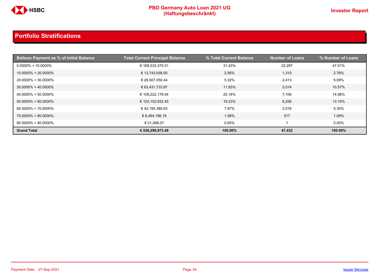

| <b>Balloon Payment as % of Initial Balance</b> | <b>Total Current Principal Balance</b> | % Total Current Balance | <b>Number of Loans</b> | % Number of Loans |
|------------------------------------------------|----------------------------------------|-------------------------|------------------------|-------------------|
| $0.0000\% < 10.0000\%$                         | € 168,533,375.01                       | 31.43%                  | 22.297                 | 47.01%            |
| $10.0000\% < 20.0000\%$                        | € 13,743,058.50                        | 2.56%                   | 1,310                  | 2.76%             |
| 20.0000% < 30.0000%                            | € 28,507,050.44                        | 5.32%                   | 2,413                  | 5.09%             |
| $30.0000\% < 40.0000\%$                        | € 63,431,733.97                        | 11.83%                  | 5,014                  | 10.57%            |
| $40.0000\% < 50.0000\%$                        | € 108,222,179.04                       | 20.18%                  | 7,106                  | 14.98%            |
| $50.0000\% < 60.0000\%$                        | € 103,152,932.45                       | 19.23%                  | 6,258                  | 13.19%            |
| $60.0000\% < 70.0000\%$                        | €42,194,389.83                         | 7.87%                   | 2,516                  | 5.30%             |
| 70.0000% < 80.0000%                            | € 8,494,186.18                         | 1.58%                   | 517                    | 1.09%             |
| $80.0000\% < 90.0000\%$                        | € 21,068.07                            | $0.00\%$                |                        | $0.00\%$          |
| <b>Grand Total</b>                             | € 536,299,973.49                       | 100.00%                 | 47,432                 | 100.00%           |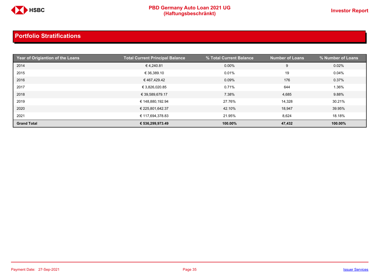

| Year of Origiantion of the Loans | <b>Total Current Principal Balance</b> | % Total Current Balance | <b>Number of Loans</b> | % Number of Loans |
|----------------------------------|----------------------------------------|-------------------------|------------------------|-------------------|
| 2014                             | €4,240.81                              | 0.00%                   | 9                      | 0.02%             |
| 2015                             | € 36,389.10                            | 0.01%                   | 19                     | 0.04%             |
| 2016                             | € 467,429.42                           | 0.09%                   | 176                    | 0.37%             |
| 2017                             | € 3,826,020.85                         | 0.71%                   | 644                    | 1.36%             |
| 2018                             | € 39,589,679.17                        | 7.38%                   | 4,685                  | 9.88%             |
| 2019                             | € 148,880,192.94                       | 27.76%                  | 14,328                 | 30.21%            |
| 2020                             | € 225,801,642.37                       | 42.10%                  | 18,947                 | 39.95%            |
| 2021                             | € 117,694,378.83                       | 21.95%                  | 8,624                  | 18.18%            |
| <b>Grand Total</b>               | € 536,299,973.49                       | 100.00%                 | 47,432                 | 100.00%           |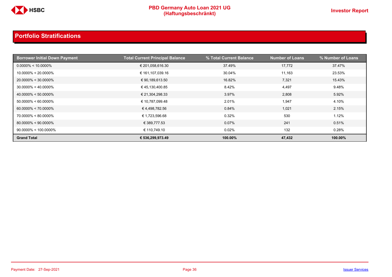

| <b>Borrower Initial Down Payment</b> | <b>Total Current Principal Balance</b> | % Total Current Balance | <b>Number of Loans</b> | % Number of Loans |
|--------------------------------------|----------------------------------------|-------------------------|------------------------|-------------------|
| $0.0000\% < 10.0000\%$               | € 201,058,616.30                       | 37.49%                  | 17,772                 | 37.47%            |
| $10.0000\% < 20.0000\%$              | € 161,107,039.16                       | 30.04%                  | 11,163                 | 23.53%            |
| $20.0000\% < 30.0000\%$              | € 90,189,613.50                        | 16.82%                  | 7,321                  | 15.43%            |
| $30.0000\% < 40.0000\%$              | €45,130,400.85                         | 8.42%                   | 4,497                  | 9.48%             |
| $40.0000\% < 50.0000\%$              | € 21,304,298.33                        | 3.97%                   | 2,808                  | 5.92%             |
| $50.0000\% < 60.0000\%$              | € 10,787,099.48                        | 2.01%                   | 1,947                  | 4.10%             |
| $60.0000\% < 70.0000\%$              | €4,498,782.56                          | 0.84%                   | 1,021                  | 2.15%             |
| $70.0000\% < 80.0000\%$              | € 1,723,596.68                         | 0.32%                   | 530                    | 1.12%             |
| $80.0000\% < 90.0000\%$              | € 389,777.53                           | 0.07%                   | 241                    | 0.51%             |
| $90.0000\% < 100.0000\%$             | € 110,749.10                           | 0.02%                   | 132                    | 0.28%             |
| <b>Grand Total</b>                   | € 536,299,973.49                       | 100.00%                 | 47,432                 | 100.00%           |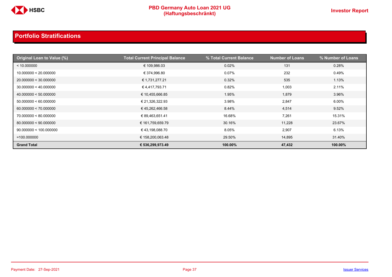

| Original Loan to Value (%) | <b>Total Current Principal Balance</b> | % Total Current Balance | <b>Number of Loans</b> | % Number of Loans |
|----------------------------|----------------------------------------|-------------------------|------------------------|-------------------|
| < 10.000000                | € 109,986.03                           | 0.02%                   | 131                    | 0.28%             |
| 10.000000 < 20.000000      | € 374,996.80                           | 0.07%                   | 232                    | 0.49%             |
| 20.000000 < 30.000000      | € 1,731,277.21                         | 0.32%                   | 535                    | 1.13%             |
| 30.000000 < 40.000000      | €4,417,793.71                          | 0.82%                   | 1,003                  | 2.11%             |
| 40.000000 < 50.000000      | € 10,455,666.85                        | 1.95%                   | 1,879                  | 3.96%             |
| 50.000000 < 60.000000      | € 21,326,322.93                        | 3.98%                   | 2,847                  | 6.00%             |
| 60.000000 < 70.000000      | € 45,262,466.58                        | 8.44%                   | 4,514                  | 9.52%             |
| 70.000000 < 80.000000      | € 89,463,651.41                        | 16.68%                  | 7,261                  | 15.31%            |
| 80.000000 < 90.000000      | € 161,759,659.79                       | 30.16%                  | 11,228                 | 23.67%            |
| 90.000000 < 100.000000     | €43,198,088.70                         | 8.05%                   | 2,907                  | 6.13%             |
| $=100.000000$              | € 158,200,063.48                       | 29.50%                  | 14,895                 | 31.40%            |
| <b>Grand Total</b>         | € 536,299,973.49                       | 100.00%                 | 47,432                 | 100.00%           |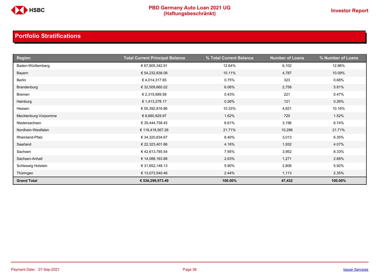

| <b>Region</b>        | <b>Total Current Principal Balance</b> | % Total Current Balance | <b>Number of Loans</b> | % Number of Loans |
|----------------------|----------------------------------------|-------------------------|------------------------|-------------------|
| Baden-Württemberg    | € 67,805,342.91                        | 12.64%                  | 6,102                  | 12.86%            |
| Bayern               | € 54,232,838.08                        | 10.11%                  | 4,787                  | 10.09%            |
| Berlin               | €4,014,317.65                          | 0.75%                   | 323                    | 0.68%             |
| Brandenburg          | € 32,509,660.02                        | 6.06%                   | 2,758                  | 5.81%             |
| <b>Bremen</b>        | € 2,315,689.58                         | 0.43%                   | 221                    | 0.47%             |
| Hamburg              | € 1,413,278.17                         | 0.26%                   | 121                    | 0.26%             |
| Hessen               | € 55,392,816.86                        | 10.33%                  | 4,821                  | 10.16%            |
| Mecklenburg-Vorpomme | € 8,680,829.97                         | 1.62%                   | 720                    | 1.52%             |
| Niedersachsen        | € 35,444,758.45                        | 6.61%                   | 3,196                  | 6.74%             |
| Nordhein-Westfalen   | € 116,418,567.26                       | 21.71%                  | 10,296                 | 21.71%            |
| Rheinland-Pfalz      | € 34,320,834.67                        | 6.40%                   | 3,013                  | 6.35%             |
| Saarland             | € 22,323,401.86                        | 4.16%                   | 1,932                  | 4.07%             |
| Sachsen              | €42,613,785.54                         | 7.95%                   | 3,952                  | 8.33%             |
| Sachsen-Anhalt       | € 14,088,163.88                        | 2.63%                   | 1,271                  | 2.68%             |
| Schleswig Holstein   | € 31,652,148.13                        | 5.90%                   | 2,806                  | 5.92%             |
| Thüringen            | € 13,073,540.46                        | 2.44%                   | 1,113                  | 2.35%             |
| <b>Grand Total</b>   | € 536,299,973.49                       | 100.00%                 | 47,432                 | 100.00%           |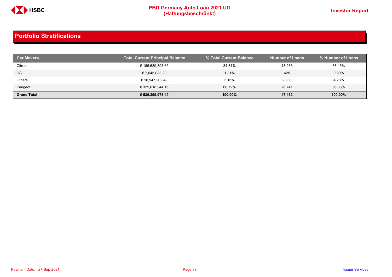

| <b>Car Makers</b>  | <b>Total Current Principal Balance</b> | % Total Current Balance | <b>Number of Loans</b> | % Number of Loans |
|--------------------|----------------------------------------|-------------------------|------------------------|-------------------|
| Citroen            | € 186,689,393.65                       | 34.81%                  | 18,236                 | 38.45%            |
| DS                 | € 7,045,033.20                         | 1.31%                   | 425                    | 0.90%             |
| Others             | € 16,947,202.48                        | 3.16%                   | 2,030                  | 4.28%             |
| Peugeot            | € 325,618,344.16                       | 60.72%                  | 26,741                 | 56.38%            |
| <b>Grand Total</b> | € 536,299,973.49                       | 100.00%                 | 47,432                 | 100.00%           |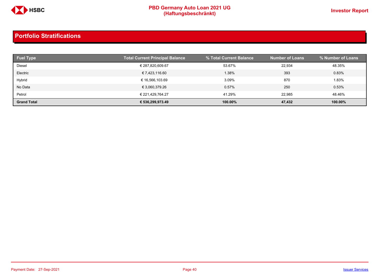

| <b>Fuel Type</b>   | <b>Total Current Principal Balance</b> | % Total Current Balance | <b>Number of Loans</b> | % Number of Loans |
|--------------------|----------------------------------------|-------------------------|------------------------|-------------------|
| Diesel             | € 287,820,609.67                       | 53.67%                  | 22.934                 | 48.35%            |
| Electric           | € 7,423,116.60                         | 1.38%                   | 393                    | 0.83%             |
| Hybrid             | € 16,566,103.69                        | 3.09%                   | 870                    | 1.83%             |
| No Data            | € 3,060,379.26                         | 0.57%                   | 250                    | 0.53%             |
| Petrol             | € 221.429.764.27                       | 41.29%                  | 22.985                 | 48.46%            |
| <b>Grand Total</b> | € 536,299,973.49                       | 100.00%                 | 47,432                 | 100.00%           |